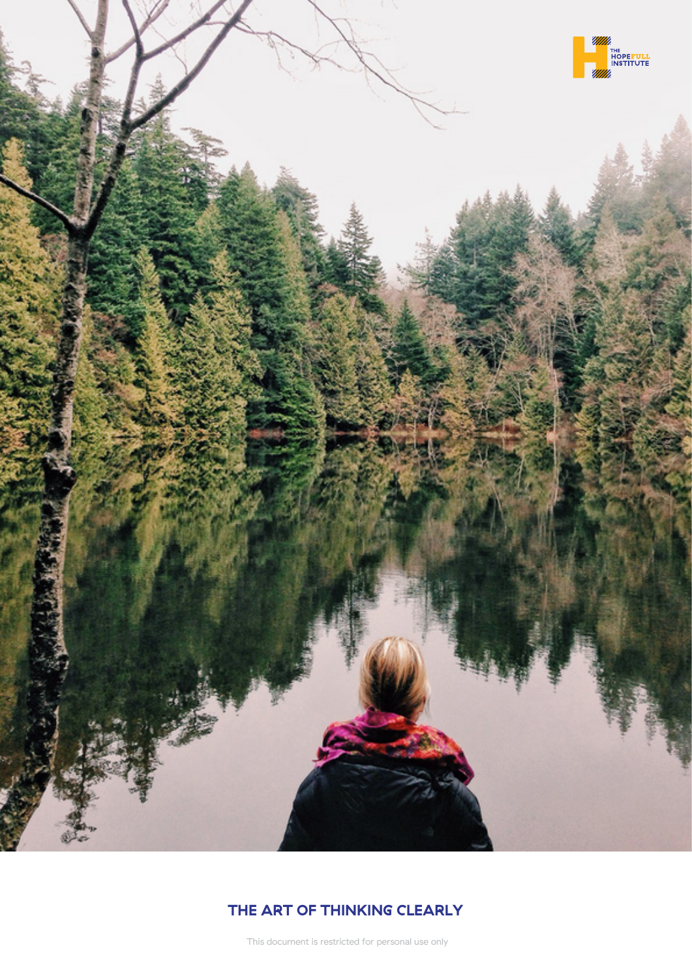

## **THE ART OF THINKING CLEARLY**

This document is restricted for personal use only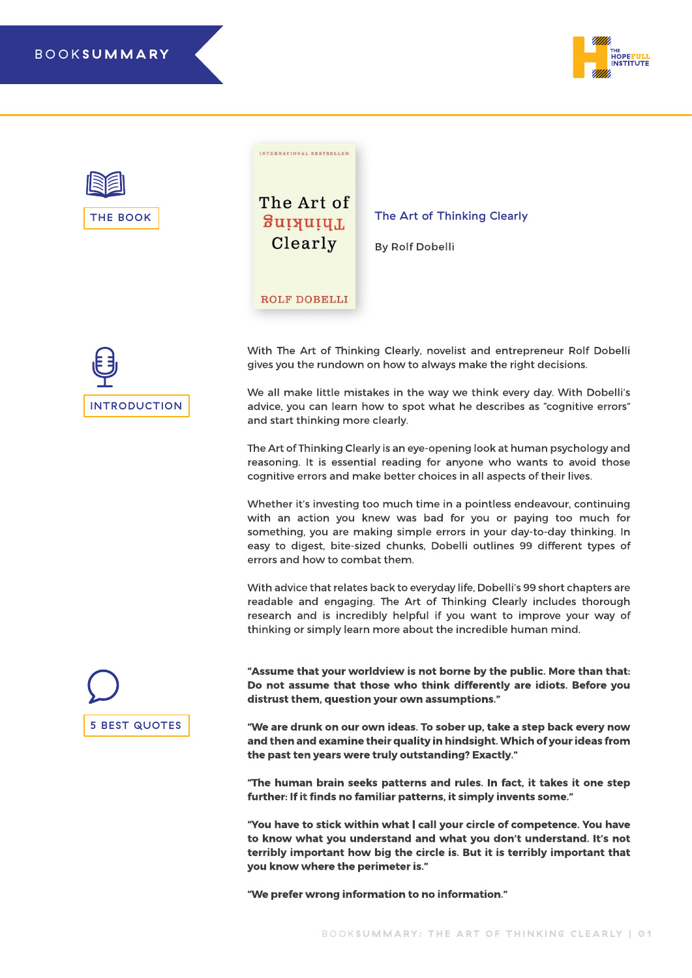





**INTERNATIONAL BESTSELLER** 



With The Art of Thinking Clearly, novelist and entrepreneur Rolf Dobelli gives you the rundown on how to always make the right decisions.

The Art of Thinking Clearly

By Rolf Dobelli

We all make little mistakes in the way we think every day. With Dobelli's advice, you can learn how to spot what he describes as "cognitive errors" and start thinking more clearly.

The Art of Thinking Clearly is an eye-opening look at human psychology and reasoning. It is essential reading for anyone who wants to avoid those cognitive errors and make better choices in all aspects of their lives.

Whether it's investing too much time in a pointless endeavour, continuing with an action you knew was bad for you or paying too much for something, you are making simple errors in your day-to-day thinking. In easy to digest, bite-sized chunks, Dobelli outlines 99 different types of errors and how to combat them.

With advice that relates back to everyday life, Dobelli's 99 short chapters are readable and engaging. The Art of Thinking Clearly includes thorough research and is incredibly helpful if you want to improve your way of thinking or simply learn more about the incredible human mind.



**"Assume that your worldview is not borne by the public. More than that: Do not assume that those who think differently are idiots. Before you distrust them, question your own assumptions."**

**"We are drunk on our own ideas. To sober up, take a step back every now and then and examine their quality in hindsight. Which of your ideas from the past ten years were truly outstanding? Exactly."**

**"The human brain seeks patterns and rules. In fact, it takes it one step further: If it finds no familiar patterns, it simply invents some."**

**"You have to stick within what I call your circle of competence. You have to know what you understand and what you don't understand. It's not terribly important how big the circle is. But it is terribly important that you know where the perimeter is."**

**"We prefer wrong information to no information."**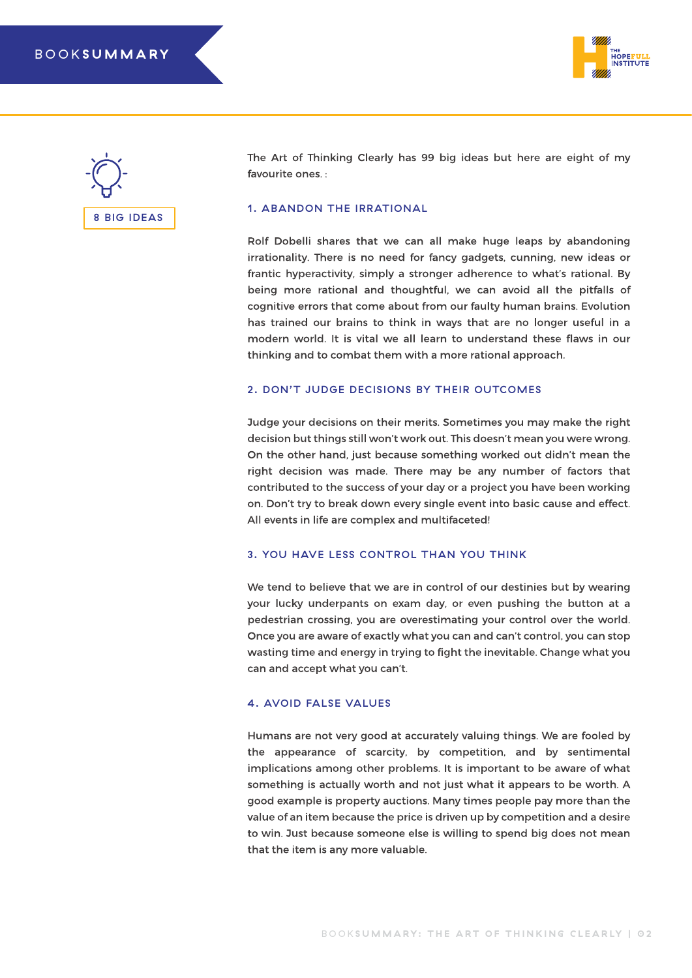



The Art of Thinking Clearly has 99 big ideas but here are eight of my favourite ones. :

#### 1. ABANDON THE IRRATIONAL

Rolf Dobelli shares that we can all make huge leaps by abandoning irrationality. There is no need for fancy gadgets, cunning, new ideas or frantic hyperactivity, simply a stronger adherence to what's rational. By being more rational and thoughtful, we can avoid all the pitfalls of cognitive errors that come about from our faulty human brains. Evolution has trained our brains to think in ways that are no longer useful in a modern world. It is vital we all learn to understand these flaws in our thinking and to combat them with a more rational approach.

#### 2. DON'T JUDGE DECISIONS BY THEIR OUTCOMES

Judge your decisions on their merits. Sometimes you may make the right decision but things still won't work out. This doesn't mean you were wrong. On the other hand, just because something worked out didn't mean the right decision was made. There may be any number of factors that contributed to the success of your day or a project you have been working on. Don't try to break down every single event into basic cause and effect. All events in life are complex and multifaceted!

#### 3. YOU HAVE LESS CONTROL THAN YOU THINK

We tend to believe that we are in control of our destinies but by wearing your lucky underpants on exam day, or even pushing the button at a pedestrian crossing, you are overestimating your control over the world. Once you are aware of exactly what you can and can't control, you can stop wasting time and energy in trying to fight the inevitable. Change what you can and accept what you can't.

#### 4. AVOID FALSE VALUES

Humans are not very good at accurately valuing things. We are fooled by the appearance of scarcity, by competition, and by sentimental implications among other problems. It is important to be aware of what something is actually worth and not just what it appears to be worth. A good example is property auctions. Many times people pay more than the value of an item because the price is driven up by competition and a desire to win. Just because someone else is willing to spend big does not mean that the item is any more valuable.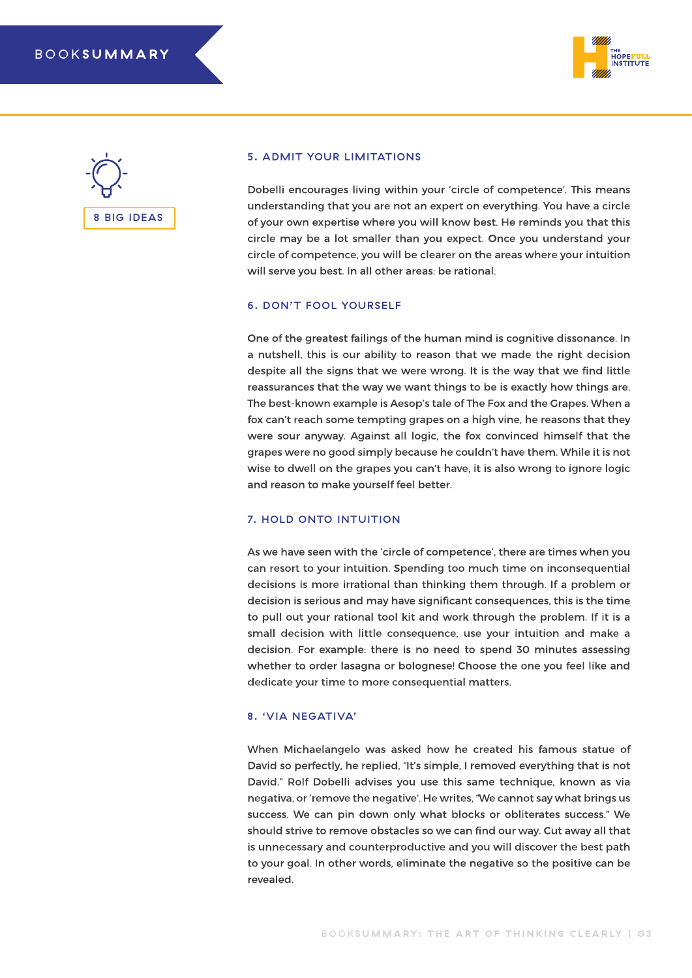



#### 5. ADMIT YOUR LIMITATIONS

Dobelli encourages living within your 'circle of competence'. This means understanding that you are not an expert on everything. You have a circle of your own expertise where you will know best. He reminds you that this circle may be a lot smaller than you expect. Once you understand your circle of competence, you will be clearer on the areas where your intuition will serve you best. In all other areas: be rational.

#### 6. DON'T FOOL YOURSELF

One of the greatest failings of the human mind is cognitive dissonance. In a nutshell, this is our ability to reason that we made the right decision despite all the signs that we were wrong. It is the way that we find little reassurances that the way we want things to be is exactly how things are. The best-known example is Aesop's tale of The Fox and the Grapes. When a fox can't reach some tempting grapes on a high vine, he reasons that they were sour anyway. Against all logic, the fox convinced himself that the grapes were no good simply because he couldn't have them. While it is not wise to dwell on the grapes you can't have, it is also wrong to ignore logic and reason to make yourself feel better.

#### 7. HOLD ONTO INTUITION

As we have seen with the 'circle of competence', there are times when you can resort to your intuition. Spending too much time on inconsequential decisions is more irrational than thinking them through. If a problem or decision is serious and may have significant consequences, this is the time to pull out your rational tool kit and work through the problem. If it is a small decision with little consequence, use your intuition and make a decision. For example: there is no need to spend 30 minutes assessing whether to order lasagna or bolognese! Choose the one you feel like and dedicate your time to more consequential matters.

#### 8. 'VIA NEGATIVA'

When Michaelangelo was asked how he created his famous statue of David so perfectly, he replied, "It's simple, I removed everything that is not David." Rolf Dobelli advises you use this same technique, known as via negativa, or 'remove the negative'. He writes, "We cannot say what brings us success. We can pin down only what blocks or obliterates success." We should strive to remove obstacles so we can find our way. Cut away all that is unnecessary and counterproductive and you will discover the best path to your goal. In other words, eliminate the negative so the positive can be revealed.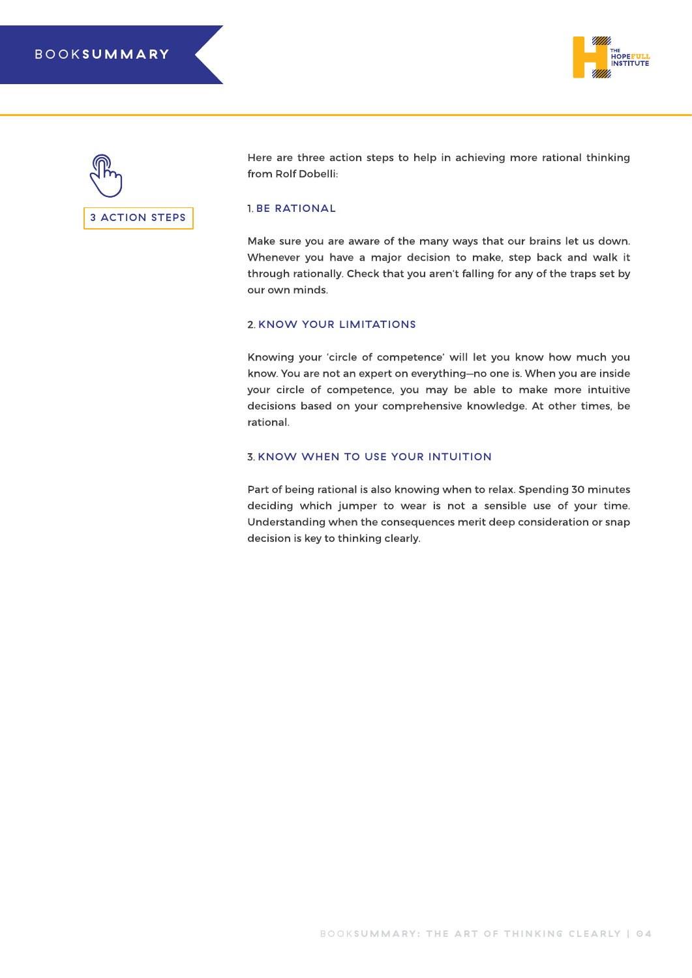



Here are three action steps to help in achieving more rational thinking from Rolf Dobelli:

#### 1. BE RATIONAL

Make sure you are aware of the many ways that our brains let us down. Whenever you have a major decision to make, step back and walk it through rationally. Check that you aren't falling for any of the traps set by our own minds.

#### 2. KNOW YOUR LIMITATIONS

Knowing your 'circle of competence' will let you know how much you know. You are not an expert on everything—no one is. When you are inside your circle of competence, you may be able to make more intuitive decisions based on your comprehensive knowledge. At other times, be rational.

#### 3. KNOW WHEN TO USE YOUR INTUITION

Part of being rational is also knowing when to relax. Spending 30 minutes deciding which jumper to wear is not a sensible use of your time. Understanding when the consequences merit deep consideration or snap decision is key to thinking clearly.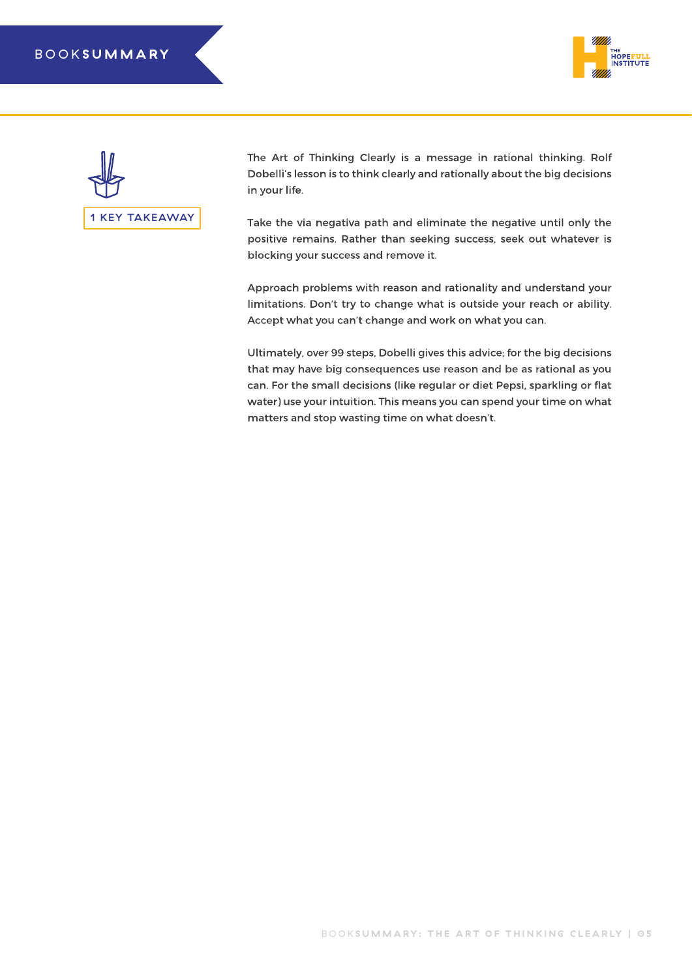### BOOK **SUMMARY**





The Art of Thinking Clearly is a message in rational thinking. Rolf Dobelli's lesson is to think clearly and rationally about the big decisions in your life.

Take the via negativa path and eliminate the negative until only the positive remains. Rather than seeking success, seek out whatever is blocking your success and remove it.

Approach problems with reason and rationality and understand your limitations. Don't try to change what is outside your reach or ability. Accept what you can't change and work on what you can.

Ultimately, over 99 steps, Dobelli gives this advice; for the big decisions that may have big consequences use reason and be as rational as you can. For the small decisions (like regular or diet Pepsi, sparkling or flat water) use your intuition. This means you can spend your time on what matters and stop wasting time on what doesn't.